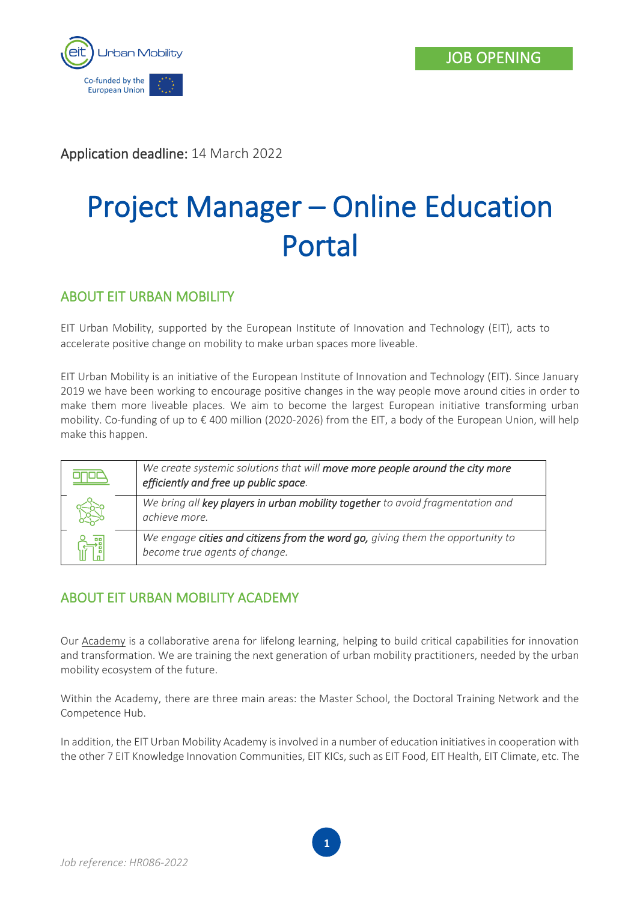

Application deadline: 14 March 2022

# Project Manager – Online Education Portal

## ABOUT EIT URBAN MOBILITY

EIT Urban Mobility, supported by the European Institute of Innovation and Technology (EIT), acts to accelerate positive change on mobility to make urban spaces more liveable.

EIT Urban Mobility is an initiative of the European Institute of Innovation and Technology (EIT). Since January 2019 we have been working to encourage positive changes in the way people move around cities in order to make them more liveable places. We aim to become the largest European initiative transforming urban mobility. Co-funding of up to € 400 million (2020-2026) from the EIT, a body of the European Union, will help make this happen.

| We create systemic solutions that will move more people around the city more<br>efficiently and free up public space. |
|-----------------------------------------------------------------------------------------------------------------------|
| We bring all key players in urban mobility together to avoid fragmentation and<br>achieve more.                       |
| We engage cities and citizens from the word go, giving them the opportunity to<br>become true agents of change.       |

## ABOUT EIT URBAN MOBILITY ACADEMY

Our [Academy](https://www.eiturbanmobility.eu/academy/) is a collaborative arena for lifelong learning, helping to build critical capabilities for innovation and transformation. We are training the next generation of urban mobility practitioners, needed by the urban mobility ecosystem of the future.

Within the Academy, there are three main areas: the Master School, the Doctoral Training Network and the Competence Hub.

In addition, the EIT Urban Mobility Academy is involved in a number of education initiatives in cooperation with the other 7 EIT Knowledge Innovation Communities, EIT KICs, such as EIT Food, EIT Health, EIT Climate, etc. The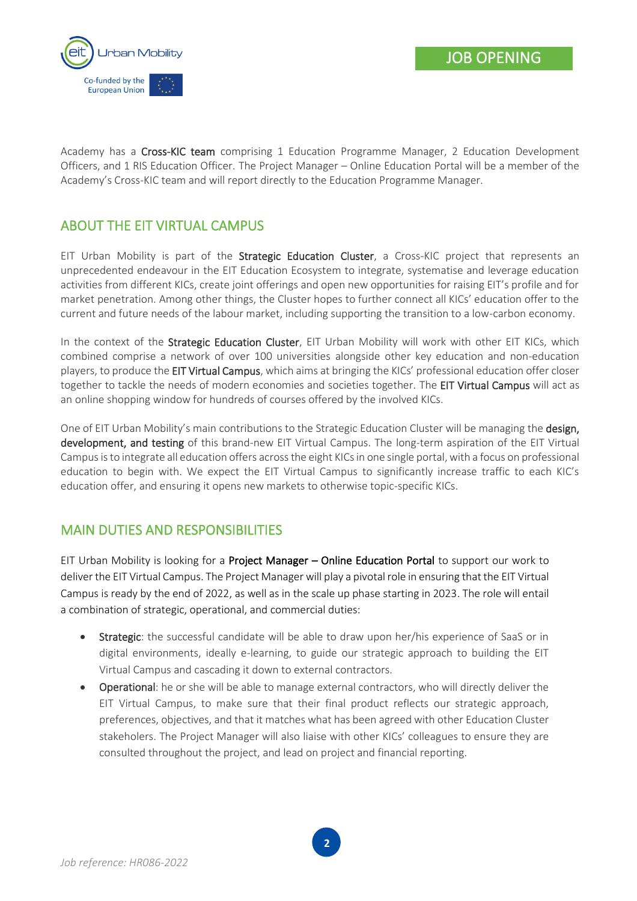

Academy has a Cross-KIC team comprising 1 Education Programme Manager, 2 Education Development Officers, and 1 RIS Education Officer. The Project Manager – Online Education Portal will be a member of the Academy's Cross-KIC team and will report directly to the Education Programme Manager.

## ABOUT THE EIT VIRTUAL CAMPUS

EIT Urban Mobility is part of the Strategic Education Cluster, a Cross-KIC project that represents an unprecedented endeavour in the EIT Education Ecosystem to integrate, systematise and leverage education activities from different KICs, create joint offerings and open new opportunities for raising EIT's profile and for market penetration. Among other things, the Cluster hopes to further connect all KICs' education offer to the current and future needs of the labour market, including supporting the transition to a low-carbon economy.

In the context of the Strategic Education Cluster, EIT Urban Mobility will work with other EIT KICs, which combined comprise a network of over 100 universities alongside other key education and non-education players, to produce the EIT Virtual Campus, which aims at bringing the KICs' professional education offer closer together to tackle the needs of modern economies and societies together. The EIT Virtual Campus will act as an online shopping window for hundreds of courses offered by the involved KICs.

One of EIT Urban Mobility's main contributions to the Strategic Education Cluster will be managing the design, development, and testing of this brand-new EIT Virtual Campus. The long-term aspiration of the EIT Virtual Campus is to integrate all education offers across the eight KICs in one single portal, with a focus on professional education to begin with. We expect the EIT Virtual Campus to significantly increase traffic to each KIC's education offer, and ensuring it opens new markets to otherwise topic-specific KICs.

## MAIN DUTIES AND RESPONSIBILITIES

EIT Urban Mobility is looking for a Project Manager – Online Education Portal to support our work to deliver the EIT Virtual Campus. The Project Manager will play a pivotal role in ensuring that the EIT Virtual Campus is ready by the end of 2022, as well as in the scale up phase starting in 2023. The role will entail a combination of strategic, operational, and commercial duties:

- Strategic: the successful candidate will be able to draw upon her/his experience of SaaS or in digital environments, ideally e-learning, to guide our strategic approach to building the EIT Virtual Campus and cascading it down to external contractors.
- Operational: he or she will be able to manage external contractors, who will directly deliver the EIT Virtual Campus, to make sure that their final product reflects our strategic approach, preferences, objectives, and that it matches what has been agreed with other Education Cluster stakeholers. The Project Manager will also liaise with other KICs' colleagues to ensure they are consulted throughout the project, and lead on project and financial reporting.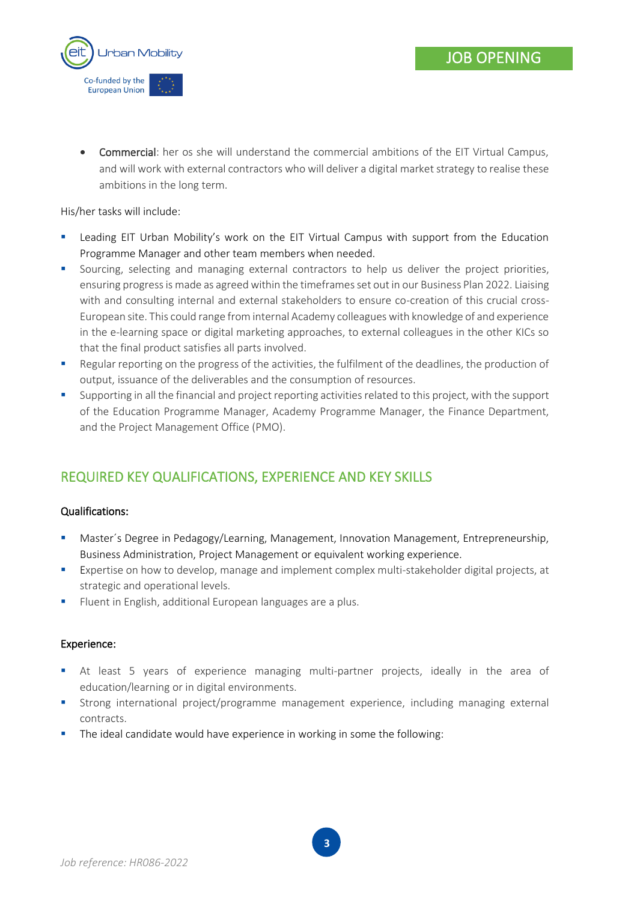



• Commercial: her os she will understand the commercial ambitions of the EIT Virtual Campus, and will work with external contractors who will deliver a digital market strategy to realise these ambitions in the long term.

His/her tasks will include:

- Leading EIT Urban Mobility's work on the EIT Virtual Campus with support from the Education Programme Manager and other team members when needed.
- **•** Sourcing, selecting and managing external contractors to help us deliver the project priorities, ensuring progress is made as agreed within the timeframesset out in our Business Plan 2022. Liaising with and consulting internal and external stakeholders to ensure co-creation of this crucial cross-European site. This could range from internal Academy colleagues with knowledge of and experience in the e-learning space or digital marketing approaches, to external colleagues in the other KICs so that the final product satisfies all parts involved.
- Regular reporting on the progress of the activities, the fulfilment of the deadlines, the production of output, issuance of the deliverables and the consumption of resources.
- Supporting in all the financial and project reporting activities related to this project, with the support of the Education Programme Manager, Academy Programme Manager, the Finance Department, and the Project Management Office (PMO).

# REQUIRED KEY QUALIFICATIONS, EXPERIENCE AND KEY SKILLS

#### Qualifications:

- **■** Master's Degree in Pedagogy/Learning, Management, Innovation Management, Entrepreneurship, Business Administration, Project Management or equivalent working experience.
- **Expertise on how to develop, manage and implement complex multi-stakeholder digital projects, at** strategic and operational levels.
- **EXECT:** Fluent in English, additional European languages are a plus.

#### Experience:

- **■** At least 5 years of experience managing multi-partner projects, ideally in the area of education/learning or in digital environments.
- **■** Strong international project/programme management experience, including managing external contracts.
- **•** The ideal candidate would have experience in working in some the following: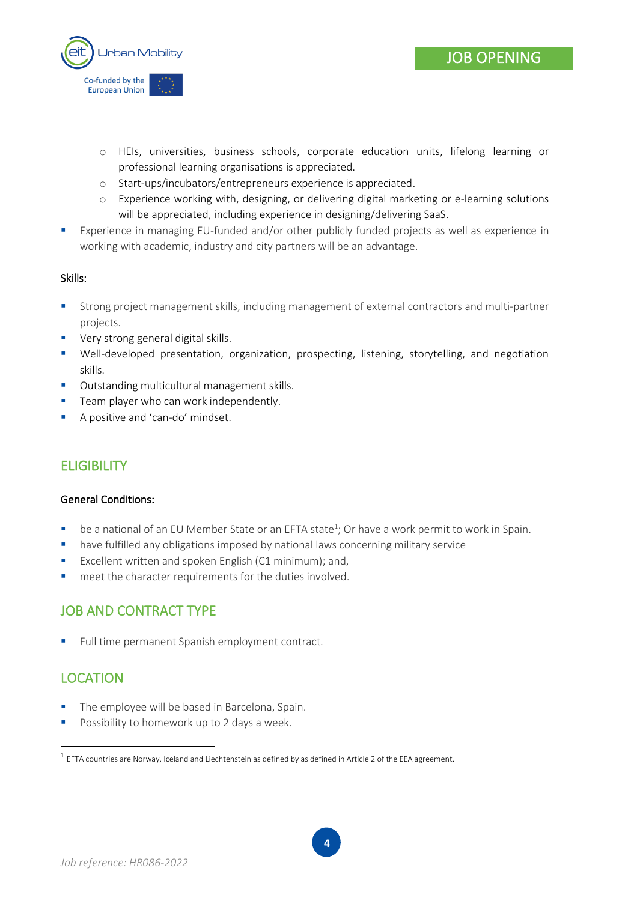

- o HEIs, universities, business schools, corporate education units, lifelong learning or professional learning organisations is appreciated.
- o Start-ups/incubators/entrepreneurs experience is appreciated.
- o Experience working with, designing, or delivering digital marketing or e-learning solutions will be appreciated, including experience in designing/delivering SaaS.
- Experience in managing EU-funded and/or other publicly funded projects as well as experience in working with academic, industry and city partners will be an advantage.

#### Skills:

- Strong project management skills, including management of external contractors and multi-partner projects.
- Very strong general digital skills.
- Well-developed presentation, organization, prospecting, listening, storytelling, and negotiation skills.
- Outstanding multicultural management skills.
- **EXEC** Team player who can work independently.
- A positive and 'can-do' mindset.

# **ELIGIBILITY**

#### General Conditions:

- be a national of an EU Member State or an EFTA state<sup>1</sup>; Or have a work permit to work in Spain.
- have fulfilled any obligations imposed by national laws concerning military service
- Excellent written and spoken English (C1 minimum); and,
- meet the character requirements for the duties involved.

### JOB AND CONTRACT TYPE

■ Full time permanent Spanish employment contract.

## **LOCATION**

- **•** The employee will be based in Barcelona, Spain.
- Possibility to homework up to 2 days a week.

 $^1$  EFTA countries are Norway, Iceland and Liechtenstein as defined by as defined in Article 2 of the EEA agreement.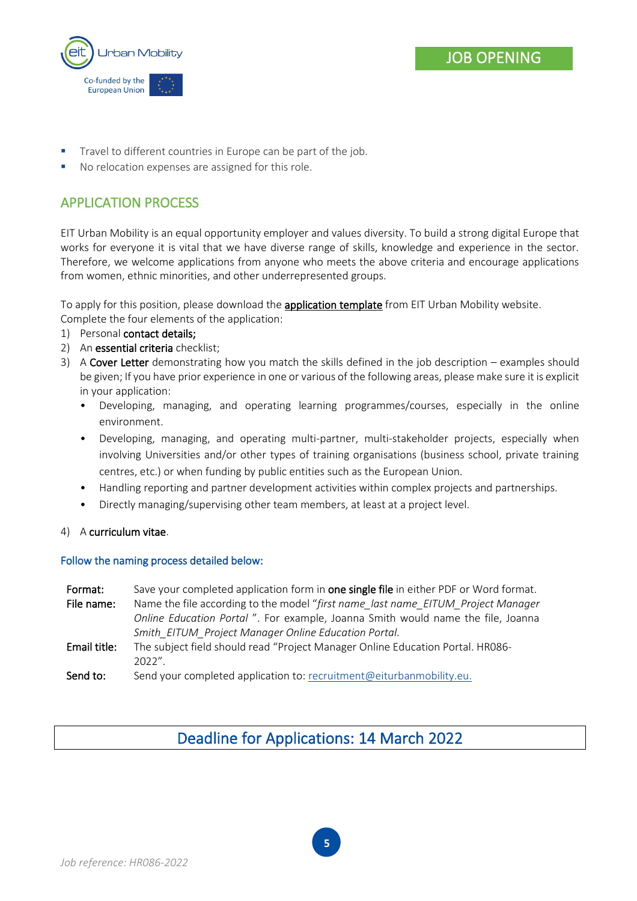

- Travel to different countries in Europe can be part of the job.
- No relocation expenses are assigned for this role.

# APPLICATION PROCESS

EIT Urban Mobility is an equal opportunity employer and values diversity. To build a strong digital Europe that works for everyone it is vital that we have diverse range of skills, knowledge and experience in the sector. Therefore, we welcome applications from anyone who meets the above criteria and encourage applications from women, ethnic minorities, and other underrepresented groups.

To apply for this position, please download the **application template** from EIT Urban Mobility website. Complete the four elements of the application:

- 1) Personal contact details;
- 2) An essential criteria checklist;
- 3) A Cover Letter demonstrating how you match the skills defined in the job description examples should be given; If you have prior experience in one or various of the following areas, please make sure it is explicit in your application:
	- Developing, managing, and operating learning programmes/courses, especially in the online environment.
	- Developing, managing, and operating multi-partner, multi-stakeholder projects, especially when involving Universities and/or other types of training organisations (business school, private training centres, etc.) or when funding by public entities such as the European Union.
	- Handling reporting and partner development activities within complex projects and partnerships.
	- Directly managing/supervising other team members, at least at a project level.

#### 4) A curriculum vitae.

#### Follow the naming process detailed below:

| Format:      | Save your completed application form in one single file in either PDF or Word format. |
|--------------|---------------------------------------------------------------------------------------|
| File name:   | Name the file according to the model "first name last name EITUM Project Manager      |
|              | Online Education Portal ". For example, Joanna Smith would name the file, Joanna      |
|              | Smith EITUM Project Manager Online Education Portal.                                  |
| Email title: | The subject field should read "Project Manager Online Education Portal. HR086-        |
|              | 2022''                                                                                |
| Canal tax    | $\mathsf{Cond}$ using completed opplication to requirement@oiturbonmobility ou        |

#### **Send to:** Send your completed application to: [recruitment@eiturbanmobility.eu.](mailto:recruitment@eiturbanmobility.eu)

# Deadline for Applications: 14 March 2022